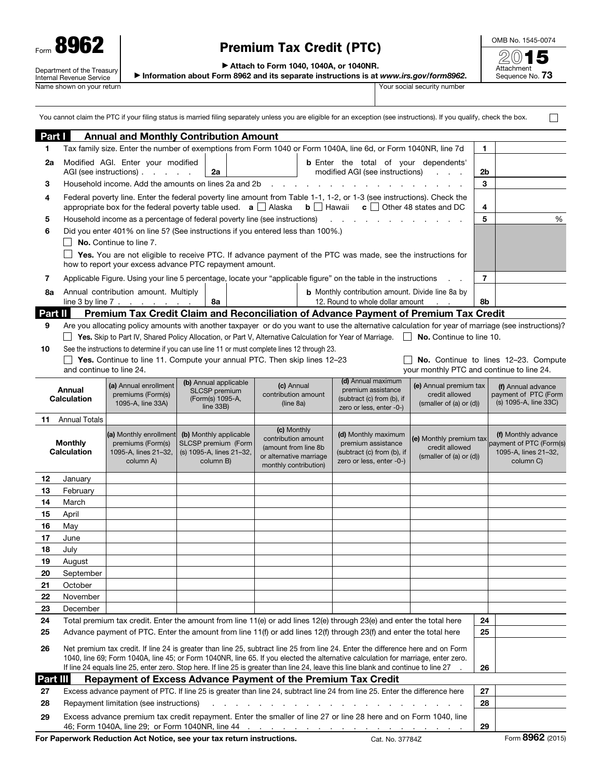| Form                                                   |  |  |  |  |  |
|--------------------------------------------------------|--|--|--|--|--|
| Department of the Treasury<br>Internal Revenue Service |  |  |  |  |  |
| Name shown on your return                              |  |  |  |  |  |

## Premium Tax Credit (PTC)

OMB No. 1545-0074 2015

Attachment<br>Sequence No. **73** 

▶ Attach to Form 1040, 1040A, or 1040NR.

▶ Information about Form 8962 and its separate instructions is at *www.irs.gov/form8962*.

Your social security number

|                                      |                                                                                                                                                                                                                                                                                                                                                                                                              |                                                                                                                                                                                                                                                                                                    |                                                                                                                   |  |                                                                                                                | You cannot claim the PTC if your filing status is married filing separately unless you are eligible for an exception (see instructions). If you qualify, check the box. |                                                                      |                |                                                                                     |
|--------------------------------------|--------------------------------------------------------------------------------------------------------------------------------------------------------------------------------------------------------------------------------------------------------------------------------------------------------------------------------------------------------------------------------------------------------------|----------------------------------------------------------------------------------------------------------------------------------------------------------------------------------------------------------------------------------------------------------------------------------------------------|-------------------------------------------------------------------------------------------------------------------|--|----------------------------------------------------------------------------------------------------------------|-------------------------------------------------------------------------------------------------------------------------------------------------------------------------|----------------------------------------------------------------------|----------------|-------------------------------------------------------------------------------------|
| Part I                               |                                                                                                                                                                                                                                                                                                                                                                                                              | <b>Annual and Monthly Contribution Amount</b>                                                                                                                                                                                                                                                      |                                                                                                                   |  |                                                                                                                |                                                                                                                                                                         |                                                                      |                |                                                                                     |
| 1.                                   |                                                                                                                                                                                                                                                                                                                                                                                                              | Tax family size. Enter the number of exemptions from Form 1040 or Form 1040A, line 6d, or Form 1040NR, line 7d                                                                                                                                                                                     |                                                                                                                   |  |                                                                                                                |                                                                                                                                                                         |                                                                      | 1.             |                                                                                     |
| 2a                                   |                                                                                                                                                                                                                                                                                                                                                                                                              | Modified AGI. Enter your modified<br>AGI (see instructions)                                                                                                                                                                                                                                        | <b>b</b> Enter the total of your dependents'<br>modified AGI (see instructions)<br>2a<br><b>Contract Contract</b> |  |                                                                                                                |                                                                                                                                                                         | 2b                                                                   |                |                                                                                     |
| 3                                    |                                                                                                                                                                                                                                                                                                                                                                                                              |                                                                                                                                                                                                                                                                                                    | Household income. Add the amounts on lines 2a and 2b                                                              |  |                                                                                                                |                                                                                                                                                                         |                                                                      |                |                                                                                     |
| 4                                    |                                                                                                                                                                                                                                                                                                                                                                                                              | Federal poverty line. Enter the federal poverty line amount from Table 1-1, 1-2, or 1-3 (see instructions). Check the<br>appropriate box for the federal poverty table used. $\mathbf{a} \square \triangleleft$ Alaska<br>$\mathbf{b}$ $\Box$ Hawaii<br>$\mathbf{c}$ $\Box$ Other 48 states and DC |                                                                                                                   |  |                                                                                                                |                                                                                                                                                                         |                                                                      |                |                                                                                     |
| 5                                    |                                                                                                                                                                                                                                                                                                                                                                                                              |                                                                                                                                                                                                                                                                                                    |                                                                                                                   |  |                                                                                                                |                                                                                                                                                                         |                                                                      | 4<br>5         | %                                                                                   |
| 6                                    |                                                                                                                                                                                                                                                                                                                                                                                                              | Household income as a percentage of federal poverty line (see instructions)<br>Did you enter 401% on line 5? (See instructions if you entered less than 100%.)                                                                                                                                     |                                                                                                                   |  |                                                                                                                |                                                                                                                                                                         |                                                                      |                |                                                                                     |
|                                      | <b>No.</b> Continue to line 7.<br>Yes. You are not eligible to receive PTC. If advance payment of the PTC was made, see the instructions for                                                                                                                                                                                                                                                                 |                                                                                                                                                                                                                                                                                                    |                                                                                                                   |  |                                                                                                                |                                                                                                                                                                         |                                                                      |                |                                                                                     |
|                                      |                                                                                                                                                                                                                                                                                                                                                                                                              | how to report your excess advance PTC repayment amount.                                                                                                                                                                                                                                            |                                                                                                                   |  |                                                                                                                |                                                                                                                                                                         |                                                                      |                |                                                                                     |
| 7                                    |                                                                                                                                                                                                                                                                                                                                                                                                              |                                                                                                                                                                                                                                                                                                    |                                                                                                                   |  |                                                                                                                | Applicable Figure. Using your line 5 percentage, locate your "applicable figure" on the table in the instructions                                                       |                                                                      | $\overline{7}$ |                                                                                     |
| 8а                                   |                                                                                                                                                                                                                                                                                                                                                                                                              | Annual contribution amount. Multiply                                                                                                                                                                                                                                                               |                                                                                                                   |  |                                                                                                                | <b>b</b> Monthly contribution amount. Divide line 8a by                                                                                                                 |                                                                      |                |                                                                                     |
|                                      |                                                                                                                                                                                                                                                                                                                                                                                                              | line 3 by line $7 \cdot \cdot \cdot \cdot \cdot \cdot$                                                                                                                                                                                                                                             | 8a                                                                                                                |  |                                                                                                                | 12. Round to whole dollar amount                                                                                                                                        | <b>Contract</b>                                                      | 8b             |                                                                                     |
| Part II                              |                                                                                                                                                                                                                                                                                                                                                                                                              |                                                                                                                                                                                                                                                                                                    |                                                                                                                   |  |                                                                                                                | Premium Tax Credit Claim and Reconciliation of Advance Payment of Premium Tax Credit                                                                                    |                                                                      |                |                                                                                     |
| 9                                    |                                                                                                                                                                                                                                                                                                                                                                                                              |                                                                                                                                                                                                                                                                                                    |                                                                                                                   |  |                                                                                                                | Are you allocating policy amounts with another taxpayer or do you want to use the alternative calculation for year of marriage (see instructions)?                      |                                                                      |                |                                                                                     |
|                                      |                                                                                                                                                                                                                                                                                                                                                                                                              |                                                                                                                                                                                                                                                                                                    |                                                                                                                   |  |                                                                                                                | Yes. Skip to Part IV, Shared Policy Allocation, or Part V, Alternative Calculation for Year of Marriage.                                                                | No. Continue to line 10.                                             |                |                                                                                     |
| 10                                   |                                                                                                                                                                                                                                                                                                                                                                                                              | See the instructions to determine if you can use line 11 or must complete lines 12 through 23.<br>Yes. Continue to line 11. Compute your annual PTC. Then skip lines 12-23                                                                                                                         |                                                                                                                   |  |                                                                                                                |                                                                                                                                                                         |                                                                      |                | No. Continue to lines 12-23. Compute                                                |
|                                      | and continue to line 24.                                                                                                                                                                                                                                                                                                                                                                                     |                                                                                                                                                                                                                                                                                                    |                                                                                                                   |  |                                                                                                                |                                                                                                                                                                         | your monthly PTC and continue to line 24.                            |                |                                                                                     |
|                                      |                                                                                                                                                                                                                                                                                                                                                                                                              | (a) Annual enrollment                                                                                                                                                                                                                                                                              | (b) Annual applicable                                                                                             |  | (c) Annual                                                                                                     | (d) Annual maximum                                                                                                                                                      | (e) Annual premium tax                                               |                | (f) Annual advance                                                                  |
| Annual<br><b>Calculation</b>         |                                                                                                                                                                                                                                                                                                                                                                                                              | premiums (Form(s)<br>1095-A, line 33A)                                                                                                                                                                                                                                                             | SLCSP premium<br>(Form(s) 1095-A,<br>line 33B)                                                                    |  | contribution amount<br>(line 8a)                                                                               | premium assistance<br>credit allowed<br>(subtract (c) from (b), if<br>(smaller of (a) or (d))<br>zero or less, enter -0-)                                               |                                                                      |                | payment of PTC (Form<br>(s) 1095-A, line 33C)                                       |
|                                      | <b>11</b> Annual Totals                                                                                                                                                                                                                                                                                                                                                                                      |                                                                                                                                                                                                                                                                                                    |                                                                                                                   |  |                                                                                                                |                                                                                                                                                                         |                                                                      |                |                                                                                     |
| <b>Monthly</b><br><b>Calculation</b> |                                                                                                                                                                                                                                                                                                                                                                                                              | (a) Monthly enrollment<br>premiums (Form(s)<br>1095-A, lines 21-32,<br>column A)                                                                                                                                                                                                                   | (b) Monthly applicable<br>SLCSP premium (Form<br>(s) 1095-A, lines 21-32,<br>column B)                            |  | (c) Monthly<br>contribution amount<br>(amount from line 8b<br>or alternative marriage<br>monthly contribution) | (d) Monthly maximum<br>premium assistance<br>(subtract (c) from (b), if<br>zero or less, enter -0-)                                                                     | (e) Monthly premium tax<br>credit allowed<br>(smaller of (a) or (d)) |                | (f) Monthly advance<br>payment of PTC (Form(s)<br>1095-A, lines 21-32,<br>column C) |
| 12                                   | January                                                                                                                                                                                                                                                                                                                                                                                                      |                                                                                                                                                                                                                                                                                                    |                                                                                                                   |  |                                                                                                                |                                                                                                                                                                         |                                                                      |                |                                                                                     |
| 13                                   | February                                                                                                                                                                                                                                                                                                                                                                                                     |                                                                                                                                                                                                                                                                                                    |                                                                                                                   |  |                                                                                                                |                                                                                                                                                                         |                                                                      |                |                                                                                     |
| 14                                   | March                                                                                                                                                                                                                                                                                                                                                                                                        |                                                                                                                                                                                                                                                                                                    |                                                                                                                   |  |                                                                                                                |                                                                                                                                                                         |                                                                      |                |                                                                                     |
| 15                                   | April                                                                                                                                                                                                                                                                                                                                                                                                        |                                                                                                                                                                                                                                                                                                    |                                                                                                                   |  |                                                                                                                |                                                                                                                                                                         |                                                                      |                |                                                                                     |
| 16                                   | May                                                                                                                                                                                                                                                                                                                                                                                                          |                                                                                                                                                                                                                                                                                                    |                                                                                                                   |  |                                                                                                                |                                                                                                                                                                         |                                                                      |                |                                                                                     |
| 17                                   | June                                                                                                                                                                                                                                                                                                                                                                                                         |                                                                                                                                                                                                                                                                                                    |                                                                                                                   |  |                                                                                                                |                                                                                                                                                                         |                                                                      |                |                                                                                     |
| 18                                   | July                                                                                                                                                                                                                                                                                                                                                                                                         |                                                                                                                                                                                                                                                                                                    |                                                                                                                   |  |                                                                                                                |                                                                                                                                                                         |                                                                      |                |                                                                                     |
| 19                                   | August                                                                                                                                                                                                                                                                                                                                                                                                       |                                                                                                                                                                                                                                                                                                    |                                                                                                                   |  |                                                                                                                |                                                                                                                                                                         |                                                                      |                |                                                                                     |
| 20<br>21                             | September<br>October                                                                                                                                                                                                                                                                                                                                                                                         |                                                                                                                                                                                                                                                                                                    |                                                                                                                   |  |                                                                                                                |                                                                                                                                                                         |                                                                      |                |                                                                                     |
| 22                                   | November                                                                                                                                                                                                                                                                                                                                                                                                     |                                                                                                                                                                                                                                                                                                    |                                                                                                                   |  |                                                                                                                |                                                                                                                                                                         |                                                                      |                |                                                                                     |
| 23                                   | December                                                                                                                                                                                                                                                                                                                                                                                                     |                                                                                                                                                                                                                                                                                                    |                                                                                                                   |  |                                                                                                                |                                                                                                                                                                         |                                                                      |                |                                                                                     |
| 24                                   |                                                                                                                                                                                                                                                                                                                                                                                                              |                                                                                                                                                                                                                                                                                                    |                                                                                                                   |  |                                                                                                                | Total premium tax credit. Enter the amount from line 11(e) or add lines 12(e) through 23(e) and enter the total here                                                    |                                                                      | 24             |                                                                                     |
| 25                                   |                                                                                                                                                                                                                                                                                                                                                                                                              |                                                                                                                                                                                                                                                                                                    |                                                                                                                   |  |                                                                                                                | Advance payment of PTC. Enter the amount from line 11(f) or add lines 12(f) through 23(f) and enter the total here                                                      |                                                                      | 25             |                                                                                     |
| 26                                   | Net premium tax credit. If line 24 is greater than line 25, subtract line 25 from line 24. Enter the difference here and on Form<br>1040, line 69; Form 1040A, line 45; or Form 1040NR, line 65. If you elected the alternative calculation for marriage, enter zero.<br>If line 24 equals line 25, enter zero. Stop here. If line 25 is greater than line 24, leave this line blank and continue to line 27 |                                                                                                                                                                                                                                                                                                    |                                                                                                                   |  |                                                                                                                |                                                                                                                                                                         |                                                                      | 26             |                                                                                     |
| Part III                             |                                                                                                                                                                                                                                                                                                                                                                                                              |                                                                                                                                                                                                                                                                                                    |                                                                                                                   |  |                                                                                                                | Repayment of Excess Advance Payment of the Premium Tax Credit                                                                                                           |                                                                      |                |                                                                                     |
| 27                                   | Excess advance payment of PTC. If line 25 is greater than line 24, subtract line 24 from line 25. Enter the difference here                                                                                                                                                                                                                                                                                  |                                                                                                                                                                                                                                                                                                    |                                                                                                                   |  |                                                                                                                |                                                                                                                                                                         | 27                                                                   |                |                                                                                     |
| 28                                   | Repayment limitation (see instructions)<br>and the contract of the con-                                                                                                                                                                                                                                                                                                                                      |                                                                                                                                                                                                                                                                                                    |                                                                                                                   |  |                                                                                                                |                                                                                                                                                                         |                                                                      | 28             |                                                                                     |
| 29                                   | Excess advance premium tax credit repayment. Enter the smaller of line 27 or line 28 here and on Form 1040, line<br>29                                                                                                                                                                                                                                                                                       |                                                                                                                                                                                                                                                                                                    |                                                                                                                   |  |                                                                                                                |                                                                                                                                                                         |                                                                      |                |                                                                                     |

For Paperwork Reduction Act Notice, see your tax return instructions. Cat. No. 37784Z Form 8962 (2015)